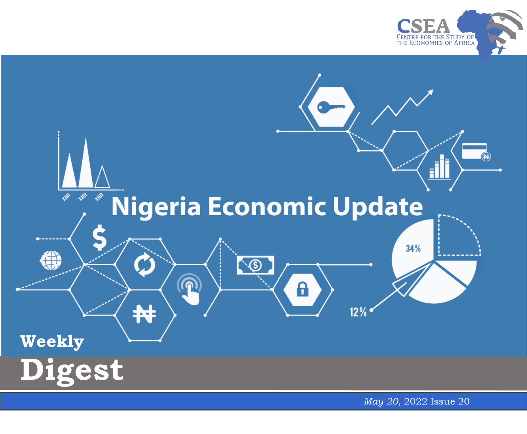



May 20, 2022 Issue 20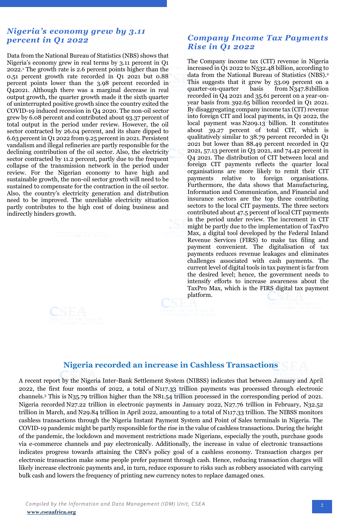## *Nigeria's economy grew by 3.11 percent in Q1 2022*

Data from the National Bureau of Statistics (NBS) shows that Nigeria's economy grew in real terms by 3.11 percent in Q1 2022.<sup>1</sup> The growth rate is 2.6 percent points higher than the 0.51 percent growth rate recorded in Q1 2021 but 0.88 percent points lower than the 3.98 percent recorded in Q42021. Although there was a marginal decrease in real output growth, the quarter growth made it the sixth quarter of uninterrupted positive growth since the country exited the COVID-19 induced recession in Q4 2020. The non-oil sector grew by 6.08 percent and contributed about 93.37 percent of total output in the period under review. However, the oil sector contracted by 26.04 percent, and its share dipped to 6.63 percent in Q1 2022 from 9.25 percent in 2021. Persistent vandalism and illegal refineries are partly responsible for the declining contribution of the oil sector. Also, the electricity sector contracted by 11.2 percent, partly due to the frequent collapse of the transmission network in the period under review. For the Nigerian economy to have high and sustainable growth, the non-oil sector growth will need to be sustained to compensate for the contraction in the oil sector. Also, the country's electricity generation and distribution need to be improved. The unreliable electricity situation partly contributes to the high cost of doing business and indirectly hinders growth.

## *Company Income Tax Payments Rise in Q1 2022*

The Company income tax (CIT) revenue in Nigeria increased in Q1 2022 to N532.48 billion, according to data from the National Bureau of Statistics (NBS).<sup>2</sup> This suggests that it grew by 53.09 percent on a quarter-on-quarter basis from N347.81billion recorded in Q4 2021 and 35.61 percent on a year-onyear basis from 392.65 billion recorded in Q1 2021. By disaggregating company income tax (CIT) revenue into foreign CIT and local payments, in Q1 2022, the local payment was N209.13 billion. It constitutes about 39.27 percent of total CIT, which is qualitatively similar to 38.79 percent recorded in Q1 2021 but lower than 88.49 percent recorded in Q2 2021, 57.13 percent in Q3 2021, and 74.42 percent in Q4 2021. The distribution of CIT between local and foreign CIT payments reflects the quarter local organisations are more likely to remit their CIT payments relative to foreign organisations. Furthermore, the data shows that Manufacturing, Information and Communication, and Financial and insurance sectors are the top three contributing sectors to the local CIT payments. The three sectors contributed about 47.5 percent of local CIT payments in the period under review. The increment in CIT might be partly due to the implementation of TaxPro Max, a digital tool developed by the Federal Inland Revenue Services (FIRS) to make tax filing and payment convenient. The digitalisation of tax payments reduces revenue leakages and eliminates challenges associated with cash payments. The current level of digital tools in tax payment is far from the desired level; hence, the government needs to intensify efforts to increase awareness about the TaxPro Max, which is the FIRS digital tax payment platform.



## **Nigeria recorded an increase in Cashless Transactions**

 Nigeria recorded N27.22 trillion in electronic payments in January 2022, N27.76 trillion in February, N32.52 A recent report by the Nigeria Inter-Bank Settlement System (NIBSS) indicates that between January and April 2022, the first four months of 2022, a total of N117.33 trillion payments was processed through electronic channels.<sup>3</sup> This is N35.79 trillion higher than the N81.54 trillion processed in the corresponding period of 2021. trillion in March, and N29.84 trillion in April 2022, amounting to a total of N117.33 trillion. The NIBSS monitors cashless transactions through the Nigeria Instant Payment System and Point of Sales terminals in Nigeria. The COVID-19 pandemic might be partly responsible for the rise in the value of cashless transactions. During the height of the pandemic, the lockdown and movement restrictions made Nigerians, especially the youth, purchase goods via e-commerce channels and pay electronically. Additionally, the increase in value of electronic transactions indicates progress towards attaining the CBN's policy goal of a cashless economy. Transaction charges per electronic transaction make some people prefer payment through cash. Hence, reducing transaction charges will likely increase electronic payments and, in turn, reduce exposure to risks such as robbery associated with carrying bulk cash and lowers the frequency of printing new currency notes to replace damaged ones.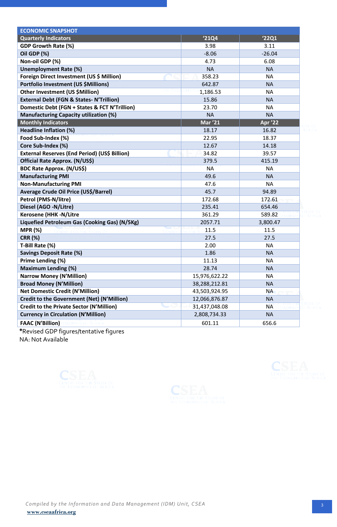| <b>ECONOMIC SNAPSHOT</b>                           |                |                |  |
|----------------------------------------------------|----------------|----------------|--|
| <b>Quarterly Indicators</b>                        | '21Q4          | '22Q1          |  |
| <b>GDP Growth Rate (%)</b>                         | 3.98           | 3.11           |  |
| Oil GDP (%)                                        | $-8.06$        | $-26.04$       |  |
| Non-oil GDP (%)                                    | 4.73           | 6.08           |  |
| <b>Unemployment Rate (%)</b>                       | <b>NA</b>      | <b>NA</b>      |  |
| Foreign Direct Investment (US \$ Million)          | 358.23         | <b>NA</b>      |  |
| Portfolio Investment (US \$Millions)               | 642.87         | <b>NA</b>      |  |
| Other Investment (US \$Million)                    | 1,186.53       | <b>NA</b>      |  |
| <b>External Debt (FGN &amp; States-N'Trillion)</b> | 15.86          | <b>NA</b>      |  |
| Domestic Debt (FGN + States & FCT N'Trillion)      | 23.70          | <b>NA</b>      |  |
| <b>Manufacturing Capacity utilization (%)</b>      | <b>NA</b>      | <b>NA</b>      |  |
| <b>Monthly Indicators</b>                          | <b>Mar '21</b> | <b>Apr '22</b> |  |
| Headline Inflation (%)                             | 18.17          | 16.82          |  |
| Food Sub-Index (%)                                 | 22.95          | 18.37          |  |
| Core Sub-Index (%)                                 | 12.67          | 14.18          |  |
| External Reserves (End Period) (US\$ Billion)      | 34.82          | 39.57          |  |
| Official Rate Approx. (N/US\$)                     | 379.5          | 415.19         |  |
| <b>BDC Rate Approx. (N/US\$)</b>                   | <b>NA</b>      | <b>NA</b>      |  |
| <b>Manufacturing PMI</b>                           | 49.6           | <b>NA</b>      |  |
| <b>Non-Manufacturing PMI</b>                       | 47.6           | <b>NA</b>      |  |
| Average Crude Oil Price (US\$/Barrel)              | 45.7           | 94.89          |  |
| Petrol (PMS-N/litre)                               | 172.68         | 172.61         |  |
| Diesel (AGO -N/Litre)                              | 235.41         | 654.46         |  |
| <b>Kerosene (HHK -N/Litre</b>                      | 361.29         | 589.82         |  |
| Liquefied Petroleum Gas (Cooking Gas) (N/5Kg)      | 2057.71        | 3,800.47       |  |
| <b>MPR (%)</b>                                     | 11.5           | 11.5           |  |
| <b>CRR (%)</b>                                     | 27.5           | 27.5           |  |
| T-Bill Rate (%)                                    | 2.00           | <b>NA</b>      |  |
| <b>Savings Deposit Rate (%)</b>                    | 1.86           | <b>NA</b>      |  |
| Prime Lending (%)                                  | 11.13          | <b>NA</b>      |  |
| <b>Maximum Lending (%)</b>                         | 28.74          | <b>NA</b>      |  |
| <b>Narrow Money (N'Million)</b>                    | 15,976,622.22  | <b>NA</b>      |  |
| <b>Broad Money (N'Million)</b>                     | 38,288,212.81  | <b>NA</b>      |  |
| <b>Net Domestic Credit (N'Million)</b>             | 43,503,924.95  | <b>NA</b>      |  |
| Credit to the Government (Net) (N'Million)         | 12,066,876.87  | <b>NA</b>      |  |
| <b>Credit to the Private Sector (N'Million)</b>    | 31,437,048.08  | <b>NA</b>      |  |
| <b>Currency in Circulation (N'Million)</b>         | 2,808,734.33   | <b>NA</b>      |  |
| <b>FAAC (N'Billion)</b>                            | 601.11         | 656.6          |  |

**\***Revised GDP figures/tentative figures NA: Not Available